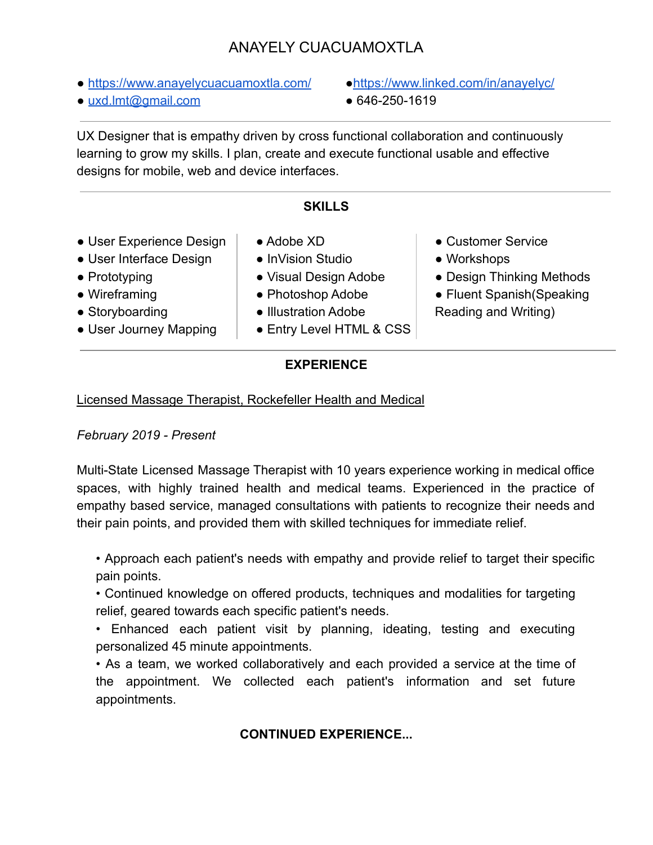# ANAYELY CUACUAMOXTLA

- <https://www.anayelycuacuamoxtla.com/> https://www.linked.com/in/anayelyc/
- $\bullet$  [uxd.lmt@gmail.com](mailto:uxd.lmt@gmail.com)  $\bullet$  646-250-1619
- 
- 

UX Designer that is empathy driven by cross functional collaboration and continuously learning to grow my skills. I plan, create and execute functional usable and effective designs for mobile, web and device interfaces.

## **SKILLS**

- User Experience Design
- User Interface Design
- Prototyping
- Wireframing
- Storyboarding
- User Journey Mapping
- Adobe XD
- InVision Studio
- Visual Design Adobe
- Photoshop Adobe
- Illustration Adobe
- Entry Level HTML & CSS
- Customer Service
- Workshops
- Design Thinking Methods
- Fluent Spanish (Speaking Reading and Writing)

#### **EXPERIENCE**

#### Licensed Massage Therapist, Rockefeller Health and Medical

## *February 2019 - Present*

Multi-State Licensed Massage Therapist with 10 years experience working in medical office spaces, with highly trained health and medical teams. Experienced in the practice of empathy based service, managed consultations with patients to recognize their needs and their pain points, and provided them with skilled techniques for immediate relief.

• Approach each patient's needs with empathy and provide relief to target their specific pain points.

• Continued knowledge on offered products, techniques and modalities for targeting relief, geared towards each specific patient's needs.

• Enhanced each patient visit by planning, ideating, testing and executing personalized 45 minute appointments.

• As a team, we worked collaboratively and each provided a service at the time of the appointment. We collected each patient's information and set future appointments.

# **CONTINUED EXPERIENCE...**